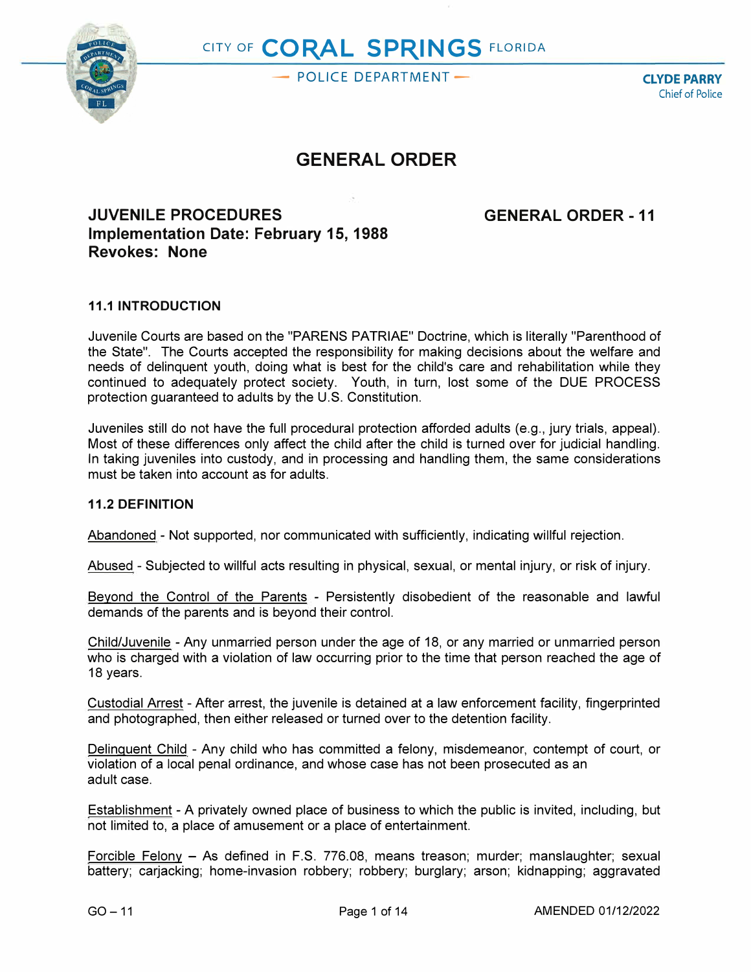

# CITY OF **CORAL SPRINGS** FLORIDA

- POLICE DEPARTMENT<sup>--</sup> **CLYDE PARRY** 

Chief of Police

## **GENERAL ORDER**

### **JUVENILE PROCEDURES Implementation Date: February 15, 1988 Revokes: None**

**GENERAL ORDER - 11** 

#### **11.1 INTRODUCTION**

Juvenile Courts are based on the "PARENS PATRIAE" Doctrine, which is literally "Parenthood of the State". The Courts accepted the responsibility for making decisions about the welfare and needs of delinquent youth, doing what is best for the child's care and rehabilitation while they continued to adequately protect society. Youth, in turn, lost some of the DUE PROCESS protection guaranteed to adults by the U.S. Constitution.

Juveniles still do not have the full procedural protection afforded adults (e.g., jury trials, appeal). Most of these differences only affect the child after the child is turned over for judicial handling. In taking juveniles into custody, and in processing and handling them, the same considerations must be taken into account as for adults.

#### **11.2 DEFINITION**

Abandoned - Not supported, nor communicated with sufficiently, indicating willful rejection.

Abused - Subjected to willful acts resulting in physical, sexual, or mental injury, or risk of injury.

Beyond the Control of the Parents - Persistently disobedient of the reasonable and lawful demands of the parents and is beyond their control.

Child/Juvenile - Any unmarried person under the age of 18, or any married or unmarried person who is charged with a violation of law occurring prior to the time that person reached the age of 18 years.

Custodial Arrest - After arrest, the juvenile is detained at a law enforcement facility, fingerprinted and photographed, then either released or turned over to the detention facility.

Delinquent Child - Any child who has committed a felony, misdemeanor, contempt of court, or violation of a local penal ordinance, and whose case has not been prosecuted as an adult case.

Establishment - A privately owned place of business to which the public is invited, including, but not limited to, a place of amusement or a place of entertainment.

Forcible Felony - As defined in F.S. 776.08, means treason; murder; manslaughter; sexual battery; carjacking; home-invasion robbery; robbery; burglary; arson; kidnapping; aggravated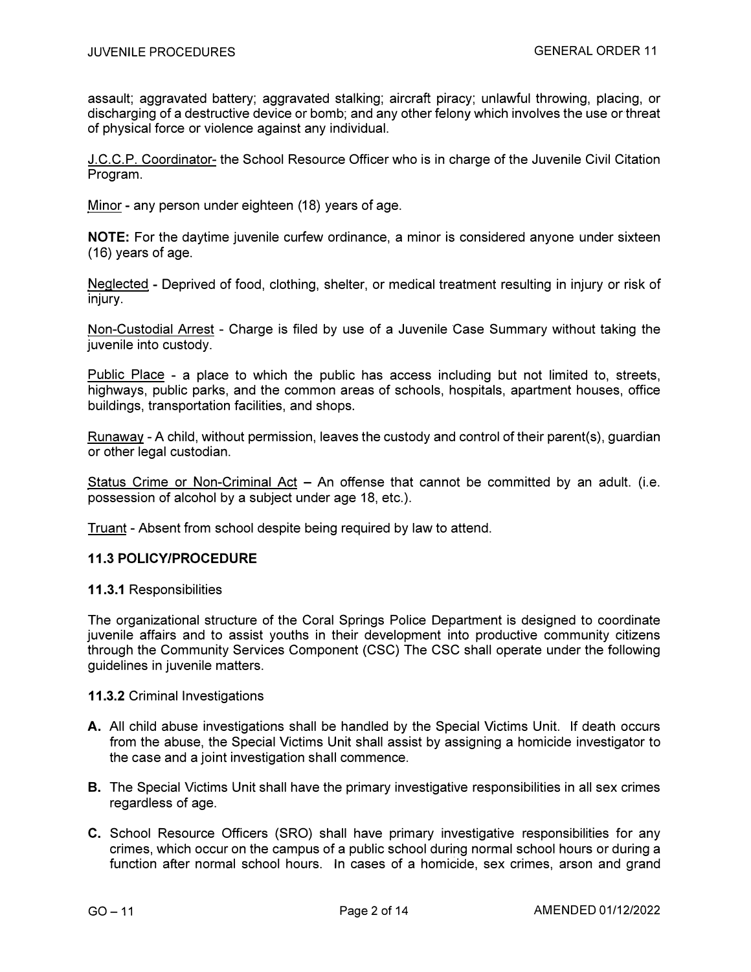assault; aggravated battery; aggravated stalking; aircraft piracy; unlawful throwing, placing, or discharging of a destructive device or bomb; and any other felony which involves the use or threat of physical force or violence against any individual.

J.C.C.P. Coordinator- the School Resource Officer who is in charge of the Juvenile Civil Citation Program.

Minor - any person under eighteen (18) years of age.

**NOTE:** For the daytime juvenile curfew ordinance, a minor is considered anyone under sixteen (16) years of age.

Neglected - Deprived of food, clothing, shelter, or medical treatment resulting in injury or risk of injury.

Non-Custodial Arrest - Charge is filed by use of a Juvenile Case Summary without taking the juvenile into custody.

Public Place - a place to which the public has access including but not limited to, streets, highways, public parks, and the common areas of schools, hospitals, apartment houses, office buildings, transportation facilities, and shops.

Runaway - A child, without permission, leaves the custody and control of their parent(s), guardian or other legal custodian.

Status Crime or Non-Criminal Act  $-$  An offense that cannot be committed by an adult. (i.e. possession of alcohol by a subject under age 18, etc.).

Truant - Absent from school despite being required by law to attend.

#### **11.3 POLICY/PROCEDURE**

#### **11.3.1** Responsibilities

The organizational structure of the Coral Springs Police Department is designed to coordinate juvenile affairs and to assist youths in their development into productive community citizens through the Community Services Component (CSC) The CSC shall operate under the following guidelines in juvenile matters.

#### **11.3.2** Criminal Investigations

- A. All child abuse investigations shall be handled by the Special Victims Unit. If death occurs from the abuse, the Special Victims Unit shall assist by assigning a homicide investigator to the case and a joint investigation shall commence.
- **B.** The Special Victims Unit shall have the primary investigative responsibilities in all sex crimes regardless of age.
- **C.** School Resource Officers (SRO) shall have primary investigative responsibilities for any crimes, which occur on the campus of a public school during normal school hours or during a function after normal school hours. In cases of a homicide, sex crimes, arson and grand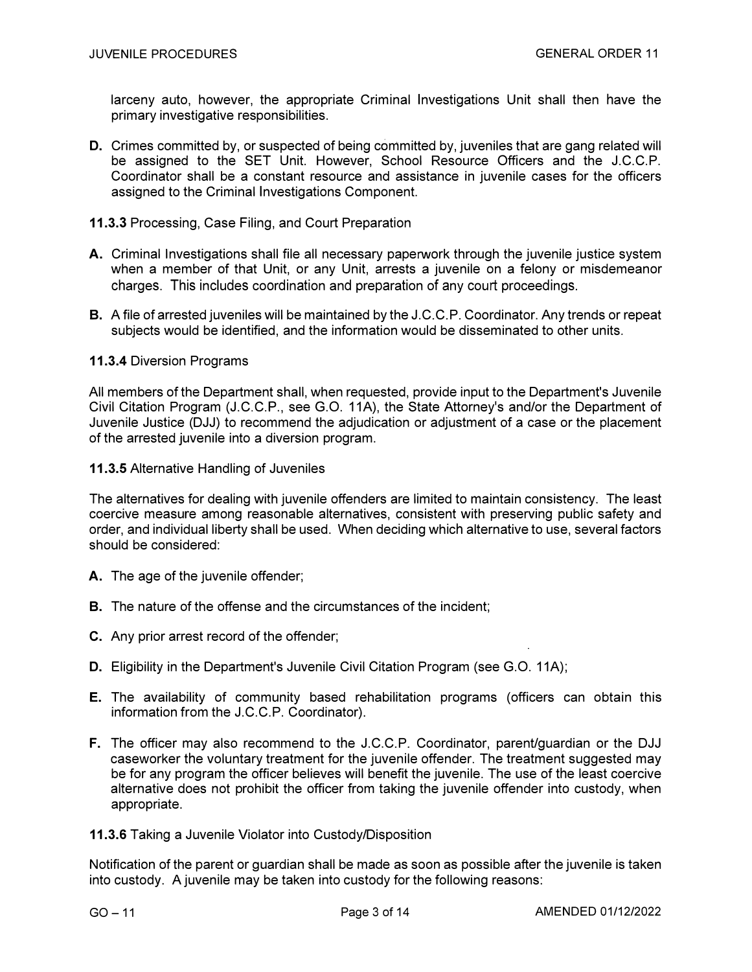larceny auto, however, the appropriate Criminal Investigations Unit shall then have the *p*rimary investigative res*p*onsibilities.

- *D***.** Crimes committed by, or s*u*s*p*ected of being committed by, j*u*veniles that are gang related will be assigned to the SET Unit. However, School Resource Officers and the J.C.C.P. Coordinator shall be a constant resource and assistance in juvenile cases for the officers assigned to the Criminal Investigations Component.
- **11.***3***.3** Processing, Case Filing, and Court Preparation
- A. Criminal Investigations shall file all necessary *p*a*p*erwork thro*u*gh the j*u*venile j*u*stice system when a member of that Unit, or any Unit, arrests a j*u*venile on a felony or misdemeanor charges. This includes coordination and preparation of any court proceedings.
- **B.** A file of arrested juveniles will be maintained by the J.C.C.P. Coordinator. Any trends or repeat subjects wo*u*ld be identified, and the information would be disseminated to other units.

#### **11.***3***.4** Diversion Programs

All members of the De*p*artment shall, when requested, *p*rovide in*pu*t to the De*p*artment's Juvenile Civil Citation Program (J.C.C.P., see G.O. 11A), the State Attorney's and/or the Department of Juvenile Justice (DJJ) to recommend the adjudication or adjustment of a case or the placement of the arrested j*u*venile into a diversion *p*rogram.

**11.***3***.5** Alternative Handling of J*u*veniles

The alternatives for dealing with juvenile offenders are limited to maintain consistency. The least coercive meas*u*re among reasonable alternatives, consistent with *p*reserving *pu*blic safety and order, and individual liberty shall be used. When deciding which alternative to use, several factors should be considered:

- A. The age of the juvenile offender:
- **B.** The nature of the offense and the circumstances of the incident:
- C. Any prior arrest record of the offender;
- **D.** Eligibility in the Department's Juvenile Civil Citation Program (see G.O. 11A);
- **E.** The availability of comm*u*nity based rehabilitation *p*rograms (officers can obtain this information from the J.C.C.P. Coordinator).
- **F.** The officer may also recommend to the J.C.C.P. Coordinator, *p*arent/guardian or the DJJ caseworker the voluntary treatment for the juvenile offender. The treatment suggested may be for any program the officer believes will benefit the juvenile. The use of the least coercive alternative does not *p*rohibit the officer from taking the j*u*venile offender into c*u*stody, when appropriate.
- **11.***3***.6** Taking a Juvenile Violator into Custody/Disposition

Notification of the *p*arent or g*u*ardian shall be made as soon as *p*ossible after the j*u*venile is taken into custody. A juvenile may be taken into custody for the following reasons: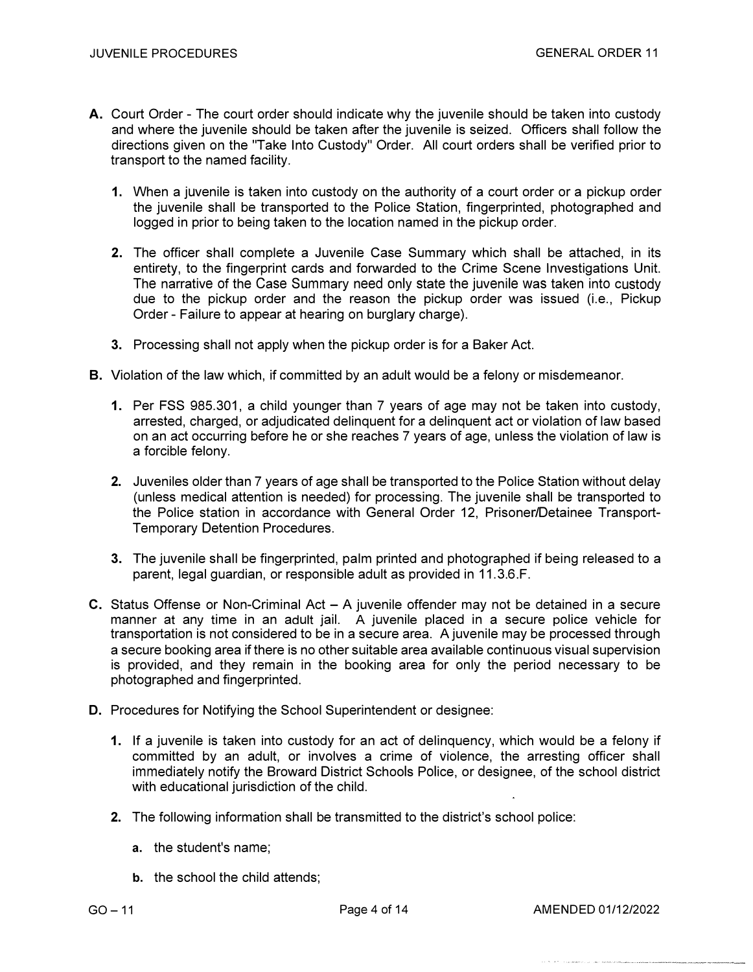- A. Court Order The court order should indicate why the juvenile should be taken into custody and where the juvenile should be taken af*t*er the juvenile is seized. Officers shall follow the directions given on the "Take Into Custody" Order. All court orders shall be verified prior to transport to the named facility.
	- **1.** When a juvenile is taken into custody on the authority of a court order or a pickup order the juvenile shall be transported to the Police Station, fingerprinted, photographed and logged in prior to being taken to the location named in the pickup order.
	- **2.** The officer shall complete a Juvenile Case Summary which shall be attached, in its entirety, to the fingerprint cards and forwarded to the Crime Scene Investigations Unit. The narrative of the Case Summary need only state the juvenile was taken into custody due to the pickup order and the reason the pickup order was issued (i.e., Pickup Order - Failure to appear at hearing on burglary charge).
	- **3.** Processing shall not apply when the pickup order is for a Baker Act.
- **B.** Violation of the law which, if committed by an adult would be a felony or misdemeanor.
	- 1. Per FSS 985.301, a child younger than 7 years of age may not be taken into custody, arrested, charged, or adjudicated delinquent for a delinquent act or violation of law based on an act occurring before he or she reaches 7 years of age, unless the violation of law is a forcible felony.
	- **2.** Juveniles older than 7 years of age shall be transported to the Police Station without delay (unless medical attention is needed) for processing. The juvenile shall be transported to the Police station in accordance with General Order 12, Prisoner/Detainee Transport-Temporary Detention Procedures.
	- **3.** The juvenile shall be fingerprinted, palm printed and photographed if being released to a parent, legal guardian, or responsible adult as provided in 11.3.6.F.
- **C.** Status Offense or Non-Criminal Act  $-$  A juvenile offender may not be detained in a secure manner at any time in an adult jail. A juvenile placed in a secure police vehicle for transportation is not considered to be in a secure area. A juvenile may be processed through a secure booking area if there is no other suitable area available continuous visual supervision is provided, and they remain in the booking area for only the period necessary to be photographed and fingerprinted.
- **D.** Procedures for Notifying the School Superintendent or designee:
	- **1.** If a juvenile is taken into custody for an act of delinquency, which would be a felony if committed by an adult, or involves a crime of violence, the arresting officer shall immediately notify the Broward District Schools Police, or designee, of the school district with educational jurisdiction of the child.
	- **2.** The following information shall be transmitted to the district's school police:
		- a. the student's name;
		- b. the school the child attends;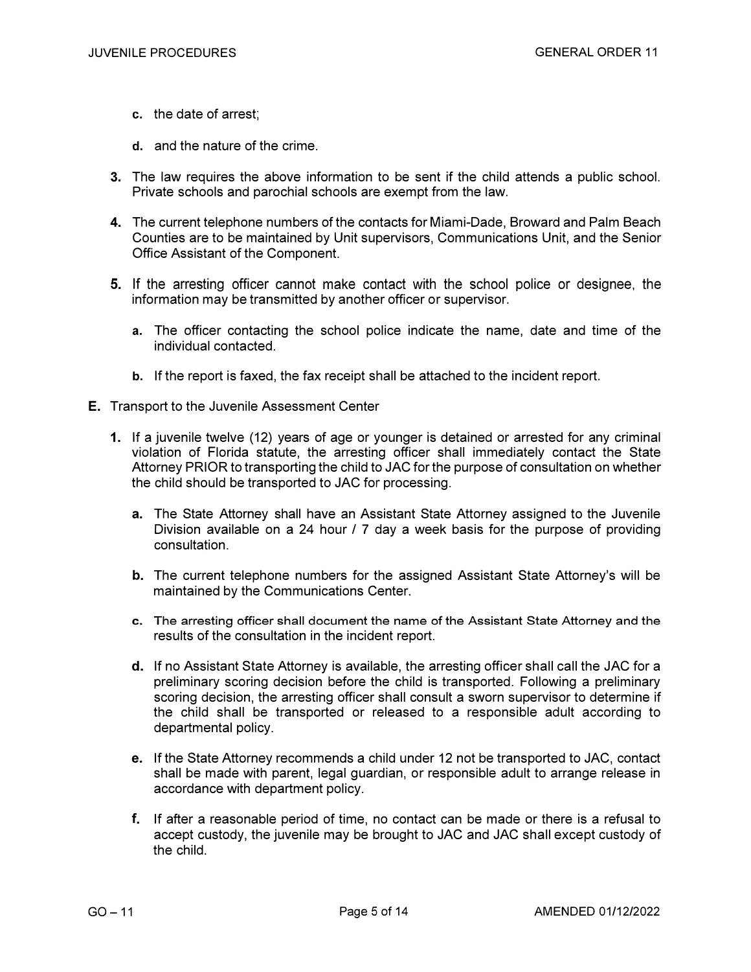- c. the date of arrest;
- d. and the nature of the crime.
- 3. The law requires the above information to be sent if the child attends a public school. Private schools and parochial schools are exempt from the law.
- 4. The current telephone numbers of the contacts for Miami-Dade, Broward and Palm Beach Counties are to be maintained by Unit supervisors, Communications Unit, and the Senior Office Assistant of the Component.
- **5.** If the arresting officer cannot make contact with the school police or designee, the information may be transmitted by another officer or supervisor.
	- a. The officer contacting the school police indicate the name, date and time of the individual contacted.
	- b. If the report is faxed, the fax receipt shall be attached to the incident report.
- E. Transport to the Juvenile Assessment Center
	- **1.** If a juvenile twelve (12) years of age or younger is detained or arrested for any criminal violation of Florida statute, the arresting officer shall immediately contact the State Attorney PRIOR to transporting the child to JAC for the purpose of consultation on whether the child should be transported to JAC for processing.
		- a. The State Attorney shall have an Assistant State Attorney assigned to the Juvenile Division available on a 24 hour / 7 day a week basis for the purpose of providing consultation.
		- **b.** The current telephone numbers for the assigned Assistant State Attorney's will be maintained by the Communications Center.
		- **c. The arresting officer shall document the name of the Assistant State Attorney and the**  results of the consultation in the incident report.
		- **d.** If no Assistant State Attorney is available, the arresting officer shall call the JAC for a preliminary scoring decision before the child is transported. Following a preliminary scoring decision, the arresting officer shall consult a sworn supervisor to determine if the child shall be transported or released to a responsible adult according to departmental policy.
		- **e.** If the State Attorney recommends a child under 12 not be transported to JAC, contact shall be made with parent, legal guardian, or responsible adult to arrange release in accordance with department policy.
		- **f.**  If after a reasonable period of time, no contact can be made or there is a refusal to accept custody, the juvenile may be brought to JAC and JAC shall except custody of the child.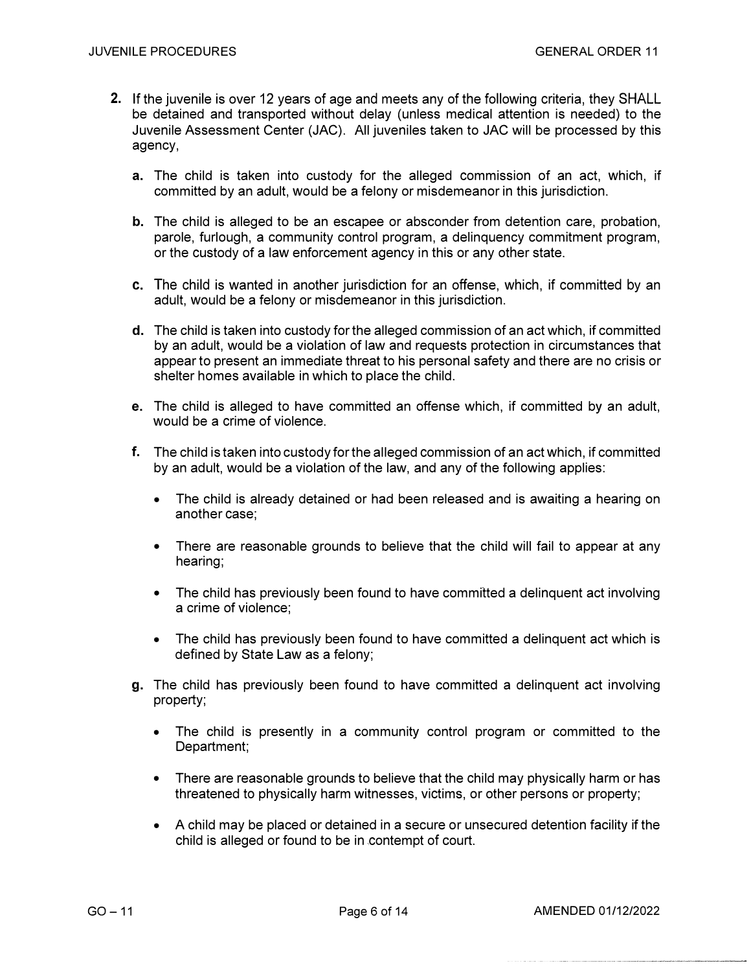- 2**.** *I*f the juvenile is over 12 years of age and meets any of the following criteria, they SHALL be detained and transported without delay (unless medical attention is needed) to the Juvenile Assessment Center (JAC). All juveniles taken to JAC will be processed by this agency,
	- a. The child is taken into custody for the alleged commission of an act, which, if *c*ommitted by an adult, would be a felony or misdemeanor in this jurisdiction.
	- b. The child is alleged to be an escapee or absconder from detention care, probation, parole, furlough, a community control program, a delinquency commitment program, or the custody of a law enforcement agency in this or any other state.
	- c. The child is wanted in another jurisdiction for an offense, which, if committed by an adult, would be a felony or misdemeanor in this jurisdiction.
	- d. The child is taken into custody for the alleged commission of an act which, if committed by an adult, would be a violation of law and requests protection in circumstances that appear to present an immediate threat to his personal safety and there are no crisis or shelter homes available in which to place the child.
	- e. The child is alleged to have committed an offense which, if committed by an adult, would be a crime of violence.
	- f. The child is taken into custody for the alleged commission of an act which, if committed by an adult, would be a violation of the law, and any of the following applies:
		- The child is already detained or had been released and is awaiting a hearing on another case;
		- There are reasonable grounds to believe that the child will fail to appear at any hearing;
		- The child has previously been found to have committed a delinguent act involving a crime of violence;
		- The child has previously been found to have committed a delinguent act which is defined by State Law as a felony;
	- g. The child has previously been found to have committed a delinquent act involving property;
		- The child is presently in a communit*y* control program or committed to the *D*epartment;
		- There are reasonable grounds to believe that the child may physically harm or has threatened to physically harm witnesses, victims, or other persons or p*r*operty;
		- A child may be placed or *d*etained in a secure or unsecured detention facility if the child is alleged or found to be in contempt of court.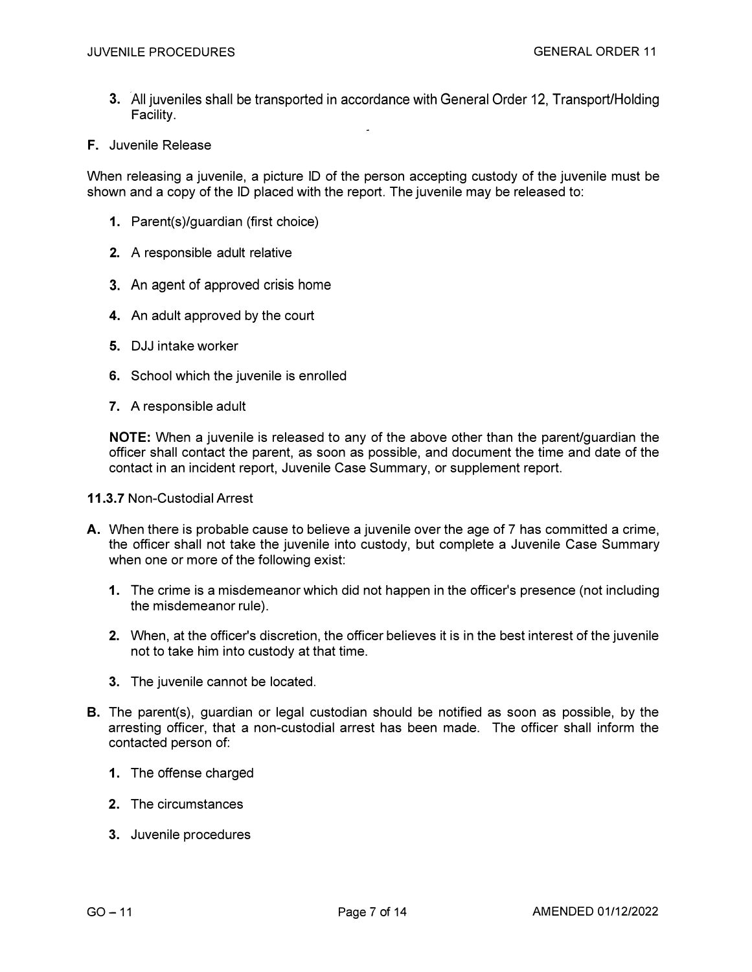- **3.** All juveniles shall be transported in accordance with General Order 12, Transport/Holding Facility.
- **F.** Juvenile Release

When releasing a juvenile, a picture ID of the person accepting custody of the juvenile must be shown and a copy of the ID placed with the repo*r*t. The juvenile may be released to:

- **1.** Parent(s)/guardian (first choice)
- **2.** A responsible adult relative
- **3.** An agent of approved crisis home
- **4.** An adult approved by the cou*r*t
- **5.** DJJ intake worker
- **6.** School which the juvenile is enrolled
- **7.** A responsible adult

**NOTE:** When a juvenile is released to any of the above other than the parent/guardian the officer shall contact the parent, as soon as possible, and document the time and date of the contact in an incident repo*r*t, Juvenile Case Summary, or supplement repo*r*t.

- **11.3.7** Non-Custodial Arrest
- A. When there is probable cause to believe a juvenile over the age of 7 has committed a crime, the officer shall not take the juvenile into custody, but complete a Juvenile Case Summary when one or more of the following exist:
	- **1.** The crime is a misdemeanor which did not happen in the officer's presence (not including the misdemeanor rule).
	- **2.** When, at the of*f*icer's discretion, the officer believes it is in the best interest of the juvenile not to take him into custody at that time.
	- 3. The juvenile cannot be located.
- **8.** The parent(s), guardian or legal custodian should be notified as soon as possible, by the arresting officer, that a non-custodial arrest has been made. The of*f*icer shall inform the contacted person of:
	- **1.** The offense charged
	- **2.** The circumstances
	- **3.** Juvenile procedures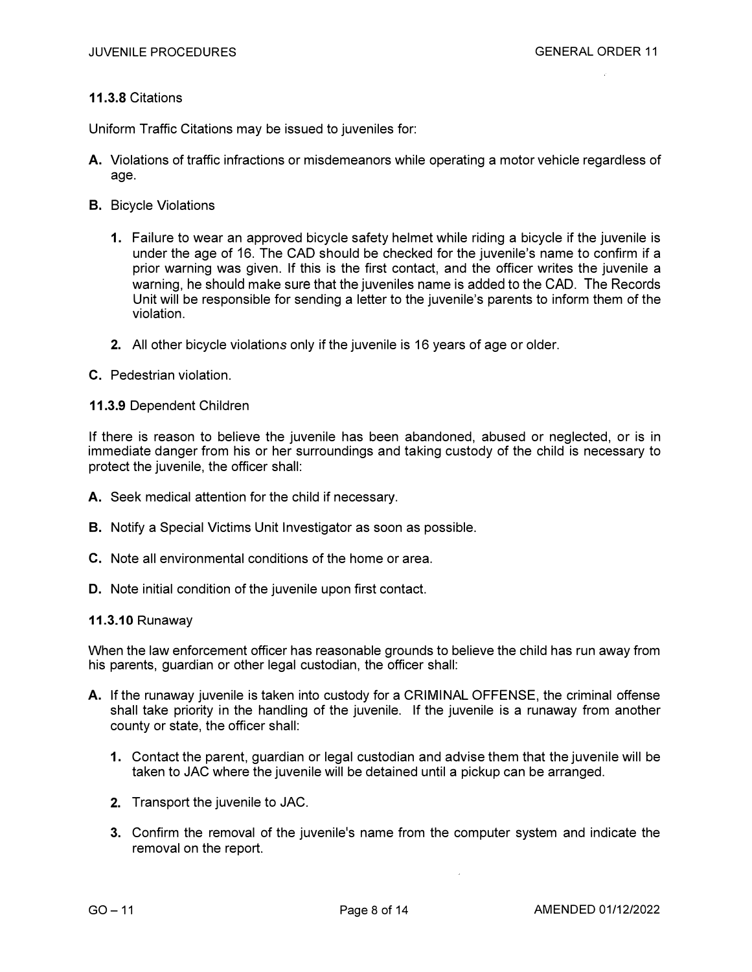#### **11.3.8** Citations

Uniform Traffic Citations may be issued to juveniles for:

- **A.** Violations of traffic infractions or misdemeanors while operating a motor vehicle regardless of age.
- B. Bicycle Violations
	- **1.** Failure to wear an approved bicycle safety helmet while riding a bicycle if the juvenile is under the age of 16. The CAD should be checked for the juvenile's name to confirm if a prior warning was given. If this is the first contact, and the officer writes the juvenile a warning, he should make sure that the juveniles name is added to the CAD. The Records Unit will be responsible for sending a letter to the juvenile's parents to inform them of the violation.
	- **2.** All other bicycle violations only if the juvenile is 16 years of age or older.
- C. Pedestrian violation.

#### **11.3.9** Dependent Children

If there is reason to believe the juvenile has been abandoned, abused or neglected, or is in immediate danger from his or her surroundings and taking custody of the child is necessary to protect the juvenile, the officer shall:

- A. Seek medical attention for the child if necessary.
- **B.** Notify a Special Victims Unit Investigator as soon as possible.
- **C.** Note all environmental conditions of the home or area.
- **D.** Note initial condition of the juvenile upon first contact.

#### 11.3.10 Runaway

When the law enforcement officer has reasonable grounds to believe the child has run away from his parents, guardian or other legal custodian, the officer shall:

- **A.** If the runaway juvenile is taken into custody for a CRIMINAL OFFENSE, the criminal offense shall take priority in the handling of the juvenile. If the juvenile is a runaway from another county or state, the officer shall:
	- **1.** Contact the parent, guardian or legal custodian and advise them that the juvenile will be taken to JAC where the juvenile will be detained until a pickup can be arranged.
	- **2.** Transport the juvenile to JAC.
	- 3. Confirm the removal of the juvenile's name from the computer system and indicate the removal on the report.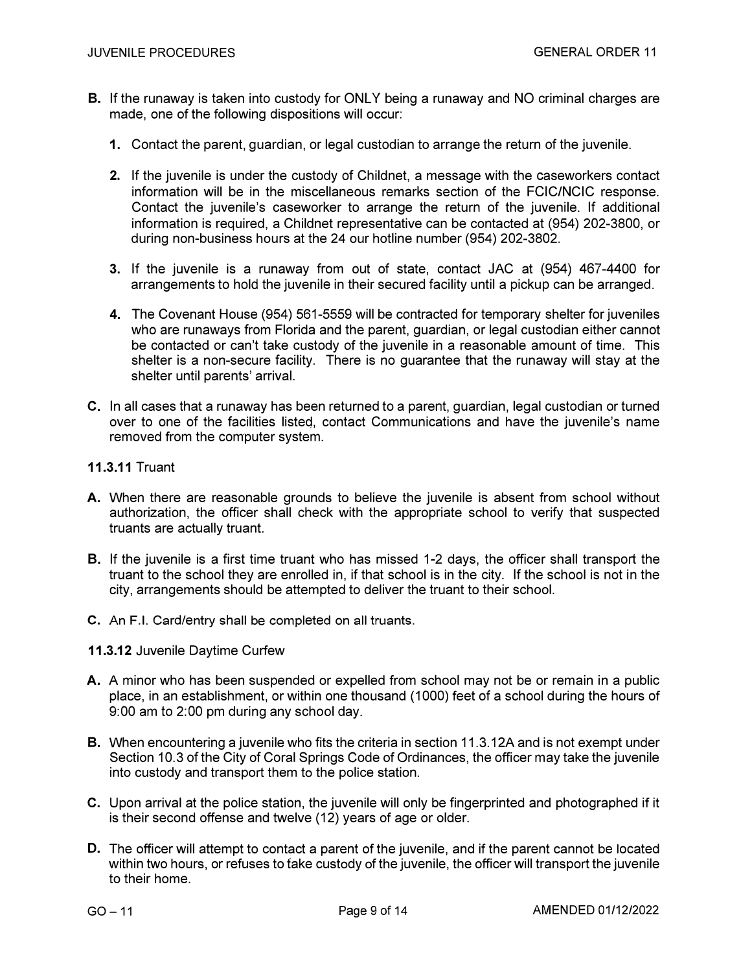- **B.** If the runaway is taken into custody for ONLY being a runaway and NO criminal charges are made, one of the following dispositions will occur:
	- **1.** Contact the parent, guardian, or legal custodian to arrange the return of the juvenile.
	- **2.** If the juvenile is under the custody of Childnet, a message with the caseworkers contact information will be in the miscellaneous remarks section of the FCIC/NCIC response. Contact the juvenile's caseworker to arrange the return of the juvenile. If additional information is required, a Childnet representative can be contacted at (954) 202-3800, or during non-business hours at the 24 our hotline number (954) 202-3802.
	- **3.** If the juvenile is a runaway from out of state, contact JAC at (954) 467-4400 for arrangements to hold the juvenile in their secured facility until a pickup can be arranged.
	- **4.** The Covenant House (954) 561-5559 will be contracted for temporary shelter for juveniles who are runaways from Florida and the parent, guardian, or legal custodian either cannot be contacted or can't take custody of the juvenile in a reasonable amount of time. This shelter is a non-secure facility. There is no guarantee that the runaway will stay at the shelter until parents' arrival.
- **C.** In all cases that a runaway has been returned to a parent, guardian, legal custodian or turned over to one of the facilities listed, contact Communications and have the juvenile's name removed from the computer system.
- **11.3.11** Truant
- **A.** When there are reasonable grounds to believe the juvenile is absent from school without authorization, the officer shall check with the appropriate school to verify that suspected truants are actually truant.
- **B.** If the juvenile is a first time truant who has missed 1-2 days, the officer shall transport the truant to the school they are enrolled in, if that school is in the city. If the school is not in the city, arrangements should be attempted to deliver the truant to their school.
- **C.** An F.I. Card/entry shall be completed on all truants.
- **11.3.12** Juvenile Daytime Curfew
- **A.** A minor who has been suspended or expelled from school may not be or remain in a public place, in an establishment, or within one thousand (1000) feet of a school during the hours of 9:00 am to 2:00 pm during any school day.
- **B.** When encountering a juvenile who fits the criteria in section 11.3.12A and is not exempt under Section 10.3 of the City of Coral Springs Code of Ordinances, the officer may take the juvenile into custody and transport them to the police station.
- **C.** Upon arrival at the police station, the juvenile will only be fingerprinted and photographed if it is their second offense and twelve (12) years of age or older.
- **D.** The officer will attempt to contact a parent of the juvenile, and if the parent cannot be located within two hours, or refuses to take custody of the juvenile, the officer will transport the juvenile to their home.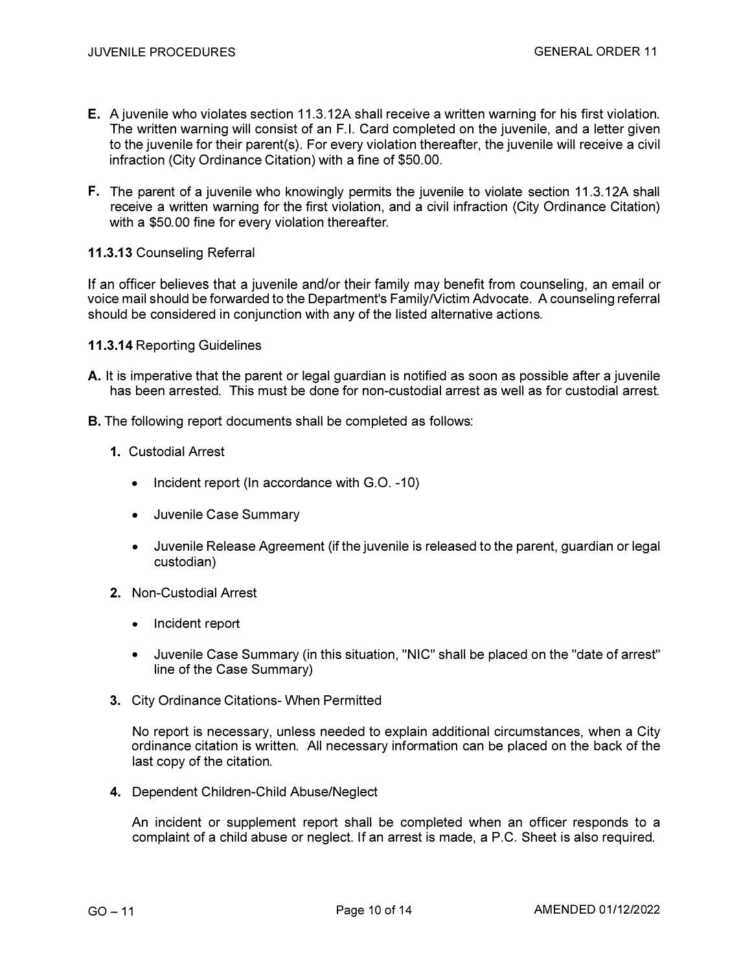- **E.** A juvenile who violates section 11.3. 12A shall receive a written warning for his first violation. The written warning will consist of an F.I. Card completed on the juvenile, and a letter given to the juvenile for their parent(s). For every violation thereaf*t*er, the juvenile will receive a civil infraction (City Ordinance Citation) with a fine of \$50.00.
- **F.** The parent of a juvenile who knowingly permits the juvenile to violate section 11.3. 12A shall receive a written warning for the first violation, and a civil infraction (City Ordinance Citation) with a \$50. 00 fine for every violation thereafter.

#### **11.3.13** Counseling Referral

If an officer believes that a juvenile and/or their family may benefit from counseling, an email or voice mail should be forwarded to the Department's FamilyNictim Advocate. A counseling referral should be considered in conjunction with any of the listed alternative actions.

- **11.3.14** Reporting Guidelines
- A. It is imperative that the parent or legal guardian is notified as soon as possible after a juvenile has been arrested. This must be done for non-custodial arrest as well as for custodial arrest.
- **B.** The following report documents shall be completed as follows:
	- **1.** Custodial Arrest
		- Incident report (In accordance with G.O. -10)
		- Juvenile Case Summary
		- Juvenile Release Agreement (if the juvenile is released to the parent, guardian or legal custodian)
	- **2.** Non-Custodial Arrest
		- Incident report
		- Juvenile Case Summary (in this situation, "NIC" shall be placed on the "date of arrest" line of the Case Summary)
	- 3. City Ordinance Citations- When Permitted

No report is necessary, unless needed to explain additional circumstances, when a City ordinance citation is written. All necessary information can be placed on the back of the last copy of the citation.

**4.** Dependent Children-Child Abuse/Neglect

An incident or supplement report shall be completed when an officer responds to a complaint of a child abuse or neglect. If an arrest is made, a P.C. Sheet is also required.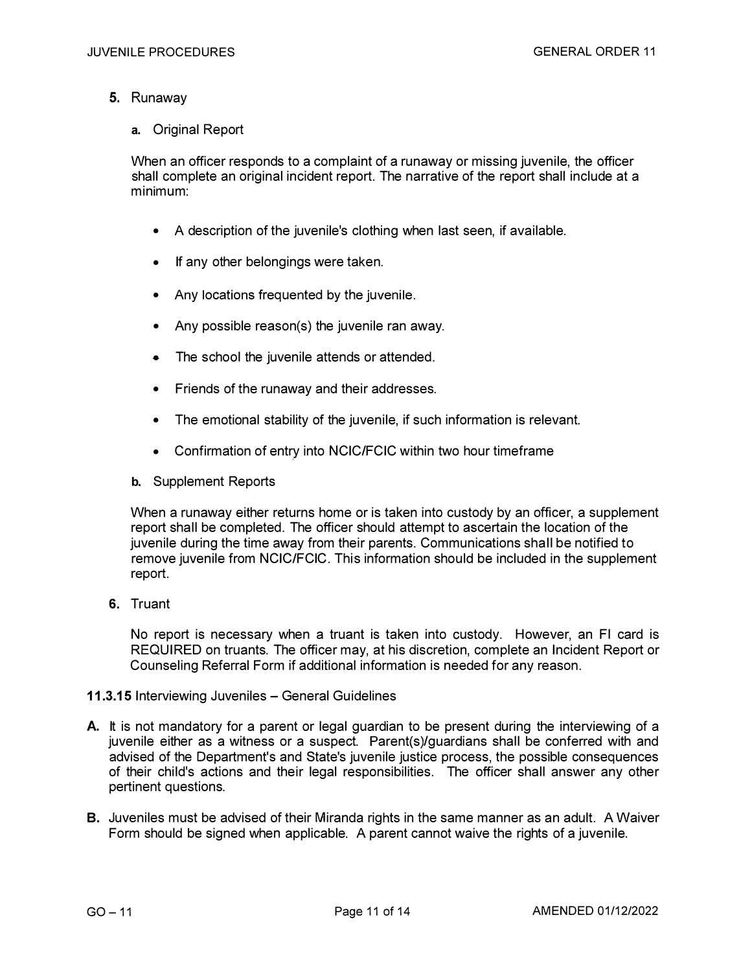- 5. Runaway
	- a. Original Report

When an officer responds to a complaint of a runaway or missing juvenile, the officer shall complete an original incident report. The narrative of the report shall include at a minimum:

- A description of the juvenile's clothing when last seen, if available.
- If any other belongings were taken.
- Any locations frequented by the juvenile.
- Any possible reason(s) the juvenile ran away.
- The school the juvenile attends or attended.
- Friends of the runaway and their addresses.
- The emotional stability of the juvenile, if such information is relevant.
- Confirmation of entry into NCIC/FCIC within two hour timeframe
- b. Supplement Reports

When a runaway either returns home or is taken into custody by an officer, a supplement report shall be completed. The officer should attempt to ascertain the location of the juvenile during the time away from their parents. Communications shall be notified to remove juvenile from NCIC/FCIC. This information should be included in the supplement report.

**6.** Truant

No report is necessary when a truant is taken into custody. However, an Fl card is REQUIRED on truants. The officer may, at his discretion, complete an Incident Report or Counseling Referral Form if additional information is needed for any reason.

#### **11.3.15 Interviewing Juveniles - General Guidelines**

- A. It is not mandatory for a parent or legal guardian to be present during the interviewing of a juvenile either as a witness or a suspect. Parent(s)/guardians shall be conferred with and advised of the Department's and State's juvenile justice process, the possible consequences of their child's actions and their legal responsibilities. The officer shall answer any other pertinent questions.
- **8.** Juveniles must be advised of their Miranda rights in the same manner as an adult. A Waiver Form should be signed when applicable. A parent cannot waive the rights of a juvenile.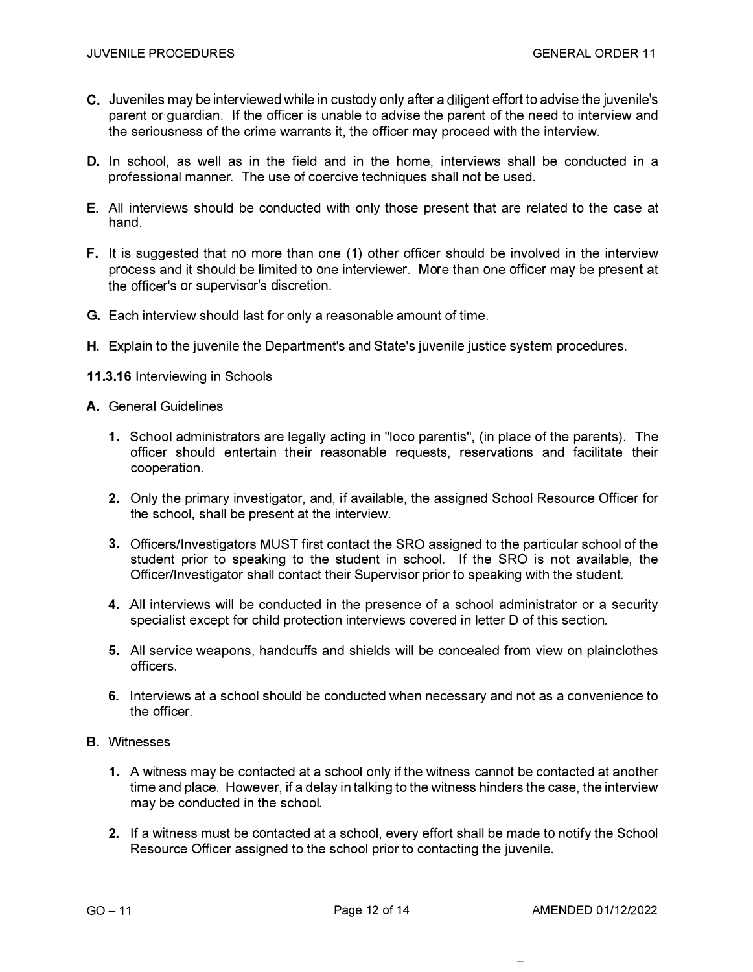- C. Juveniles may be interviewed while in custody only after a diligent effort to advise the juvenile's parent or guardian. If the officer is unable to advise the parent of the need to interview and the seriousness of the crime warrants it, the officer may proceed with the interview.
- D. In school, as well as in the field and in the home, interviews shall be conducted in a professional manner. The use of coercive techniques shall not be used.
- **E.** All interviews should be conducted with only those present that are related to the case at hand.
- **F.** It is suggested that no more than one (1) other officer should be involved in the interview process and it should be limited to one interviewer. More than one officer may be present at the officer's or supervisor's discretion.
- G. Each interview should last for only a reasonable amount of time.
- **H.** Explain to the juvenile the Department's and State's juvenile justice system procedures.
- **11.3.16** Interviewing in Schools
- A. General Guidelines
	- **1.** School administrators are legally acting in "loco parentis", (in place of the parents). The officer should entertain their reasonable requests, reservations and facilitate their cooperation.
	- **2.** Only the primary investigator, and, if available, the assigned School Resource Officer for the school, shall be present at the interview.
	- **3.** Officers/Investigators MUST first contact the SRO assigned to the particular school of the student prior to speaking to the student in school. If the SRO is not available, the Officer/Investigator shall contact their Supervisor prior to speaking with the student.
	- 4. All interviews will be conducted in the presence of a school administrator or a security specialist except for child protection interviews covered in letter D of this section.
	- 5. All service weapons, handcuffs and shields will be concealed from view on plainclothes officers.
	- **6.** Interviews at a school should be conducted when necessary and not as a convenience to the officer.
- B. Witnesses
	- 1. A witness may be contacted at a school only if the witness cannot be contacted at another time and place. However, if a delay in talking to the witness hinders the case, the interview may be conducted in the school.
	- 2. If a witness must be contacted at a school, every effort shall be made to notify the School Resource Officer assigned to the school prior to contacting the juvenile.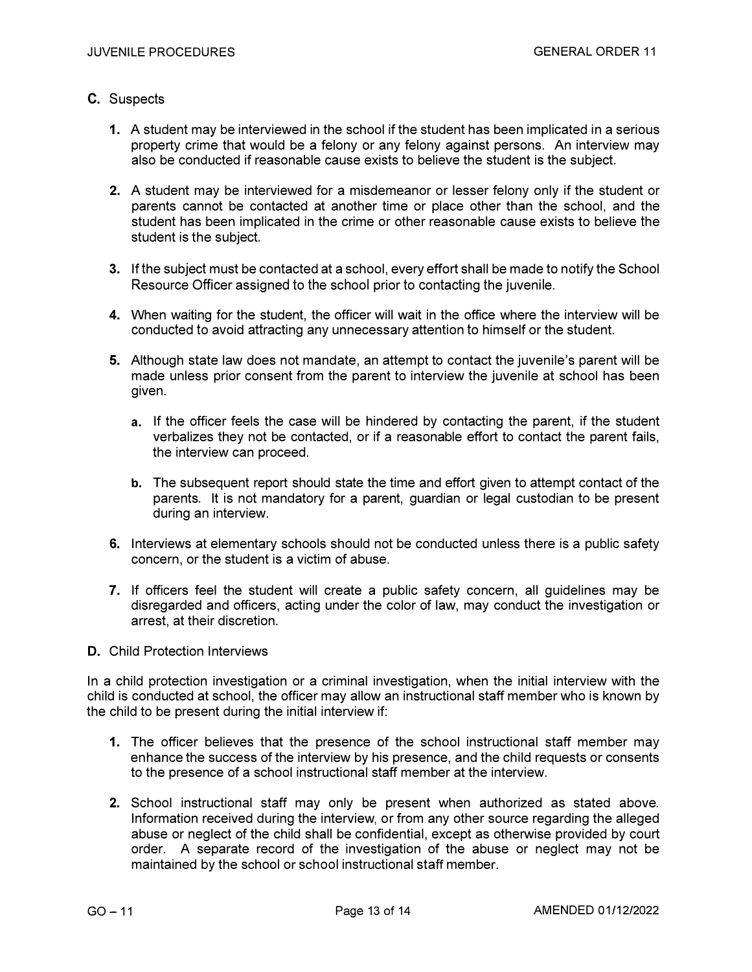#### C. Suspects

- **1.** A student may be interviewed in the school if the student has been implicated in a serious property crime that would be a felony or any felony against persons. An interview may also be conducted if reasonable cause exists to believe the student is the subject.
- **2.** A student may be interviewed for a misdemeanor or lesser felony only if the student or parents cannot be contacted at another time or place other than the school, and the student has been implicated in the crime or other reasonable cause exists to believe the student is the subject.
- **3.** If the subject must be contacted at a school, every effort shall be made to notify the School Resource Officer assigned to the school prior to contacting the juvenile.
- **4.** When waiting for the student, the officer will wait in the office where the interview will be conducted to avoid attracting any unnecessary attention to himself or the student.
- **5.** Although state law does not mandate, an attempt to contact the juvenile's parent will be made unless prior consent from the parent to interview the juvenile at school has been given.
	- a. If the officer feels the case will be hindered by contacting the parent, if the student verbalizes they not be contacted, or if a reasonable effort to contact the parent fails, the interview can proceed.
	- b. The subsequent report should state the time and effort given to attempt contact of the parents. It is not mandatory for a parent, guardian or legal custodian to be present during an interview.
- **6.** Interviews at elementary schools should not be conducted unless there is a public safety concern, or the student is a victim of abuse.
- **7.** If officers feel the student will create a public safety concern, all guidelines may be disregarded and officers, acting under the color of law, may conduct the investigation or arrest, at their discretion.
- D. Child Protection Interviews

In a child protection investigation or a criminal investigation, when the initial interview with the child is conducted at school, the officer may allow an instructional staff member who is known by the child to be present during the initial interview if:

- **1.** The officer believes that the presence of the school instructional staff member may enhance the success of the interview by his presence, and the child requests or consents to the presence of a school instructional staff member at the interview.
- **2.** School instructional staff may only be present when authorized as stated above. Information received during the interview, or from any other source regarding the alleged abuse or neglect of the child shall be confidential, except as otherwise provided by court order. A separate record of the investigation of the abuse or neglect may not be maintained by the school or school instructional staff member.